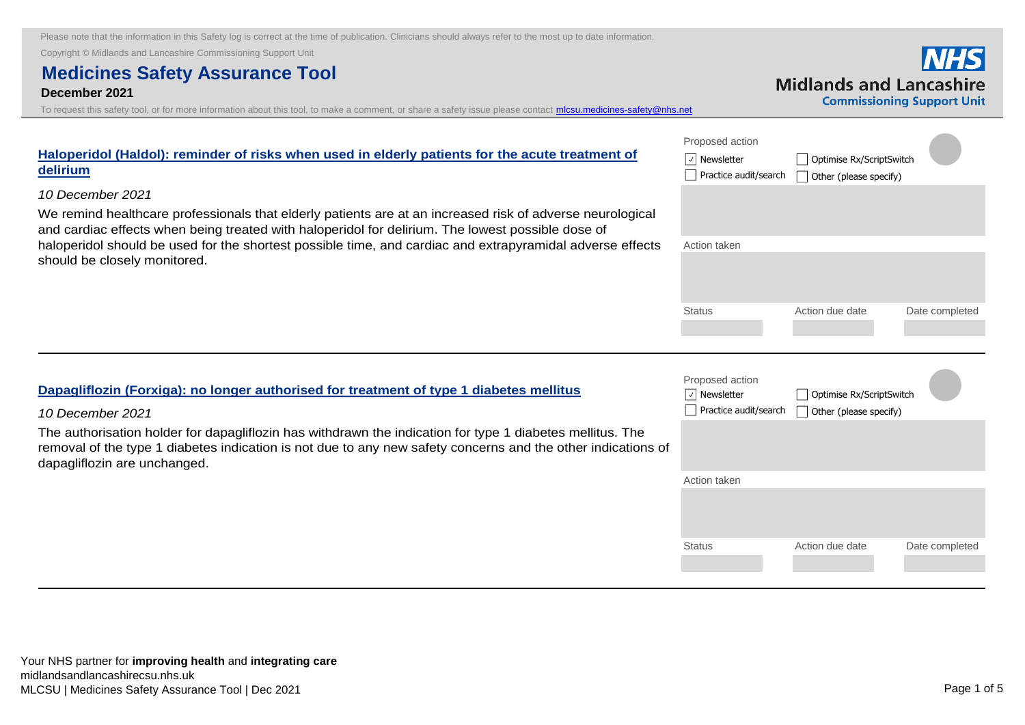Copyright © Midlands and Lancashire Commissioning Support Unit

## **Medicines Safety Assurance Tool**

#### **December 2021**

To request this safety tool, or for more information about this tool, to make a comment, or share a safety issue please contact micsu.medicines-safety@nhs.ne

| Haloperidol (Haldol): reminder of risks when used in elderly patients for the acute treatment of<br>delirium<br>10 December 2021<br>We remind healthcare professionals that elderly patients are at an increased risk of adverse neurological<br>and cardiac effects when being treated with haloperidol for delirium. The lowest possible dose of<br>haloperidol should be used for the shortest possible time, and cardiac and extrapyramidal adverse effects<br>should be closely monitored. | Proposed action<br>$ \mathcal{A} $ Newsletter<br>Optimise Rx/ScriptSwitch<br>Practice audit/search<br>Other (please specify)<br>Action taken |                                                    |                |  |
|-------------------------------------------------------------------------------------------------------------------------------------------------------------------------------------------------------------------------------------------------------------------------------------------------------------------------------------------------------------------------------------------------------------------------------------------------------------------------------------------------|----------------------------------------------------------------------------------------------------------------------------------------------|----------------------------------------------------|----------------|--|
|                                                                                                                                                                                                                                                                                                                                                                                                                                                                                                 | <b>Status</b>                                                                                                                                | Action due date                                    | Date completed |  |
| Dapagliflozin (Forxiga): no longer authorised for treatment of type 1 diabetes mellitus<br>10 December 2021                                                                                                                                                                                                                                                                                                                                                                                     | Proposed action<br>$ \!\vee\! $ Newsletter<br>Practice audit/search                                                                          | Optimise Rx/ScriptSwitch<br>Other (please specify) |                |  |
| The authorisation holder for dapagliflozin has withdrawn the indication for type 1 diabetes mellitus. The                                                                                                                                                                                                                                                                                                                                                                                       |                                                                                                                                              |                                                    |                |  |

## Action taken Status **Action due date** Date completed **Dapagliflozin (Forxiga): no longer authorised for treatment of type 1** *10 December 2021* The authorisation holder for dapagliflozin has withdrawn the indication for type removal of the type 1 diabetes indication is not due to any new safety concerns and the other indications of dapagliflozin are unchanged.

# **Midlands and Lancashire**

**Commissioning Support Unit**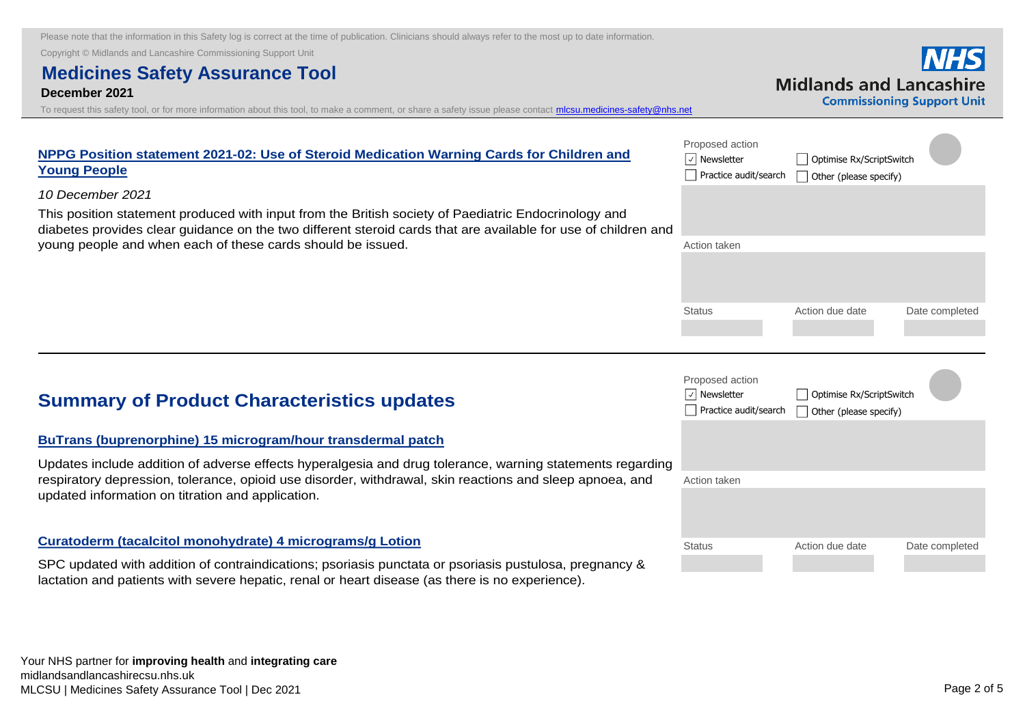Copyright © Midlands and Lancashire Commissioning Support Unit

## **Medicines Safety Assurance Tool**

#### **December 2021**

To request this safety tool, or for more information about this tool, to make a comment, or share a safety issue please contact *micsu.medicines-safety@nhs.net* 

|                                |                                   |  | ічпэ |
|--------------------------------|-----------------------------------|--|------|
| <b>Midlands and Lancashire</b> |                                   |  |      |
|                                | <b>Commissioning Support Unit</b> |  |      |

| NPPG Position statement 2021-02: Use of Steroid Medication Warning Cards for Children and<br><b>Young People</b>                                                                                                       | Proposed action<br> √ Newsletter<br>Practice audit/search | Optimise Rx/ScriptSwitch<br>Other (please specify) |                |
|------------------------------------------------------------------------------------------------------------------------------------------------------------------------------------------------------------------------|-----------------------------------------------------------|----------------------------------------------------|----------------|
| 10 December 2021                                                                                                                                                                                                       |                                                           |                                                    |                |
| This position statement produced with input from the British society of Paediatric Endocrinology and<br>diabetes provides clear guidance on the two different steroid cards that are available for use of children and |                                                           |                                                    |                |
| young people and when each of these cards should be issued.                                                                                                                                                            | Action taken                                              |                                                    |                |
|                                                                                                                                                                                                                        |                                                           |                                                    |                |
|                                                                                                                                                                                                                        | <b>Status</b>                                             | Action due date                                    | Date completed |
|                                                                                                                                                                                                                        |                                                           |                                                    |                |

## **Summary of Product Characteristics updates**

#### **[BuTrans \(buprenorphine\) 15 microgram/hour transdermal patch](https://nice.us8.list-manage.com/track/click?u=7864f766b10b8edd18f19aa56&id=e0f9338825&e=bb4189a0f3)**

Updates include addition of adverse effects hyperalgesia and drug tolerance, warning statements regarding respiratory depression, tolerance, opioid use disorder, withdrawal, skin reactions and sleep apnoea, and updated information on titration and application.

#### **[Curatoderm \(tacalcitol monohydrate\) 4 micrograms/g Lotion](https://nice.us8.list-manage.com/track/click?u=7864f766b10b8edd18f19aa56&id=e8b185d7d7&e=bb4189a0f3)**

SPC updated with addition of contraindications; psoriasis punctata or psoriasis pustulosa, pregnancy & lactation and patients with severe hepatic, renal or heart disease (as there is no experience).

|    | Proposed action<br>Newsletter<br>Practice audit/search | Optimise Rx/ScriptSwitch<br>$\Box$ Other (please specify) |  |                |
|----|--------------------------------------------------------|-----------------------------------------------------------|--|----------------|
| ng |                                                        |                                                           |  |                |
|    | Action taken                                           |                                                           |  |                |
|    |                                                        |                                                           |  |                |
|    | <b>Status</b>                                          | Action due date                                           |  | Date completed |
|    |                                                        |                                                           |  |                |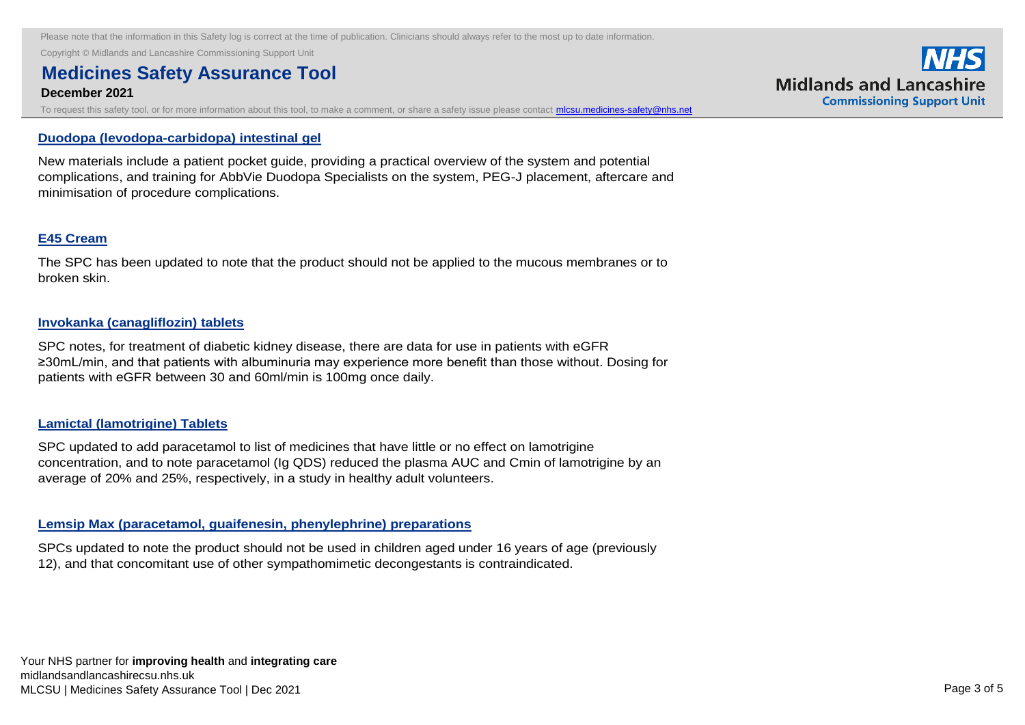Copyright © Midlands and Lancashire Commissioning Support Unit

## **Medicines Safety Assurance Tool**

#### **December 2021**

To request this safety tool, or for more information about this tool, to make a comment, or share a safety issue please contact *mlcsu.medicines-safety@nhs.net* 

#### **[Duodopa \(levodopa-carbidopa\) intestinal gel](https://nice.us8.list-manage.com/track/click?u=7864f766b10b8edd18f19aa56&id=4b87a6eb71&e=bb4189a0f3)**

New materials include a patient pocket guide, providing a practical overview of the system and potential complications, and training for AbbVie Duodopa Specialists on the system, PEG-J placement, aftercare and minimisation of procedure complications.

#### **[E45 Cream](https://nice.us8.list-manage.com/track/click?u=7864f766b10b8edd18f19aa56&id=deed9f291e&e=bb4189a0f3)**

The SPC has been updated to note that the product should not be applied to the mucous membranes or to broken skin.

#### **[Invokanka \(canagliflozin\) tablets](https://nice.us8.list-manage.com/track/click?u=7864f766b10b8edd18f19aa56&id=1d8328d5da&e=bb4189a0f3)**

SPC notes, for treatment of diabetic kidney disease, there are data for use in patients with eGFR ≥30mL/min, and that patients with albuminuria may experience more benefit than those without. Dosing for patients with eGFR between 30 and 60ml/min is 100mg once daily.

#### **[Lamictal \(lamotrigine\) Tablets](https://nice.us8.list-manage.com/track/click?u=7864f766b10b8edd18f19aa56&id=c9b23af052&e=bb4189a0f3)**

SPC updated to add paracetamol to list of medicines that have little or no effect on lamotrigine concentration, and to note paracetamol (Ig QDS) reduced the plasma AUC and Cmin of lamotrigine by an average of 20% and 25%, respectively, in a study in healthy adult volunteers.

#### **[Lemsip Max \(paracetamol, guaifenesin, phenylephrine\) preparations](https://nice.us8.list-manage.com/track/click?u=7864f766b10b8edd18f19aa56&id=5cb508af94&e=bb4189a0f3)**

SPCs updated to note the product should not be used in children aged under 16 years of age (previously 12), and that concomitant use of other sympathomimetic decongestants is contraindicated.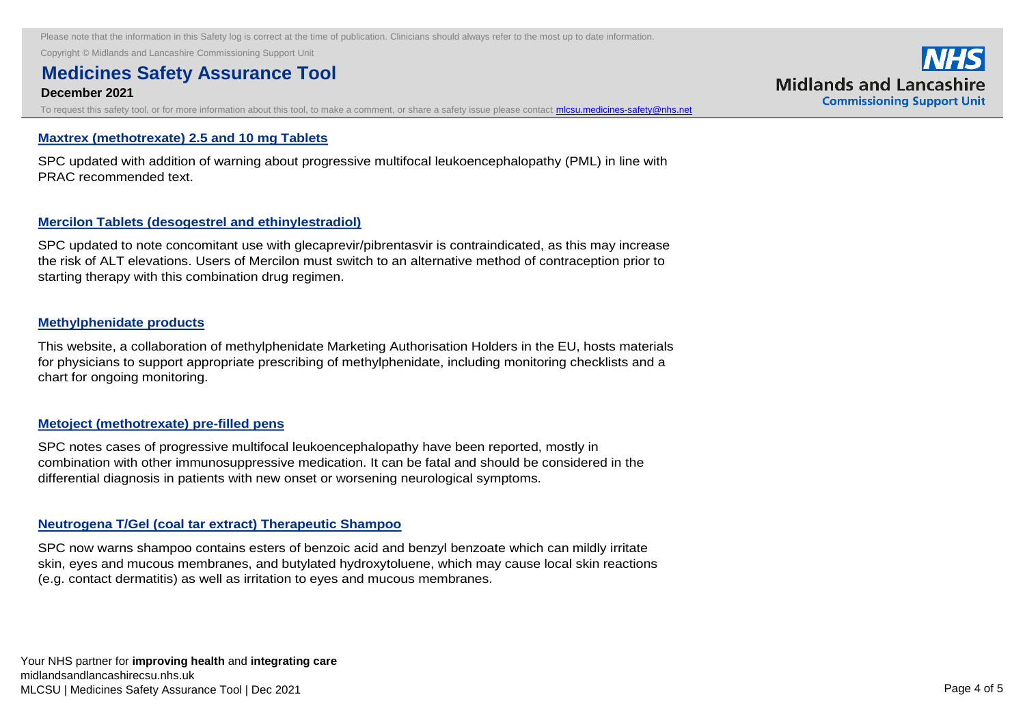Copyright © Midlands and Lancashire Commissioning Support Unit

## **Medicines Safety Assurance Tool**

#### **December 2021**

To request this safety tool, or for more information about this tool, to make a comment, or share a safety issue please contact *mlcsu.medicines-safety@nhs.net* 

#### **[Maxtrex \(methotrexate\) 2.5 and 10 mg Tablets](https://nice.us8.list-manage.com/track/click?u=7864f766b10b8edd18f19aa56&id=46a1c30fea&e=bb4189a0f3)**

SPC updated with addition of warning about progressive multifocal leukoencephalopathy (PML) in line with PRAC recommended text.

#### **[Mercilon Tablets \(desogestrel and ethinylestradiol\)](https://nice.us8.list-manage.com/track/click?u=7864f766b10b8edd18f19aa56&id=198a820b32&e=bb4189a0f3)**

SPC updated to note concomitant use with glecaprevir/pibrentasvir is contraindicated, as this may increase the risk of ALT elevations. Users of Mercilon must switch to an alternative method of contraception prior to starting therapy with this combination drug regimen.

#### **[Methylphenidate products](https://nice.us8.list-manage.com/track/click?u=7864f766b10b8edd18f19aa56&id=686e1c645f&e=bb4189a0f3)**

This website, a collaboration of methylphenidate Marketing Authorisation Holders in the EU, hosts materials for physicians to support appropriate prescribing of methylphenidate, including monitoring checklists and a chart for ongoing monitoring.

#### **[Metoject \(methotrexate\) pre-filled pens](https://nice.us8.list-manage.com/track/click?u=7864f766b10b8edd18f19aa56&id=a4adc1fad9&e=bb4189a0f3)**

SPC notes cases of progressive multifocal leukoencephalopathy have been reported, mostly in combination with other immunosuppressive medication. It can be fatal and should be considered in the differential diagnosis in patients with new onset or worsening neurological symptoms.

#### **[Neutrogena T/Gel \(coal tar extract\) Therapeutic Shampoo](https://nice.us8.list-manage.com/track/click?u=7864f766b10b8edd18f19aa56&id=57c631e37d&e=bb4189a0f3)**

SPC now warns shampoo contains esters of benzoic acid and benzyl benzoate which can mildly irritate skin, eyes and mucous membranes, and butylated hydroxytoluene, which may cause local skin reactions (e.g. contact dermatitis) as well as irritation to eyes and mucous membranes.